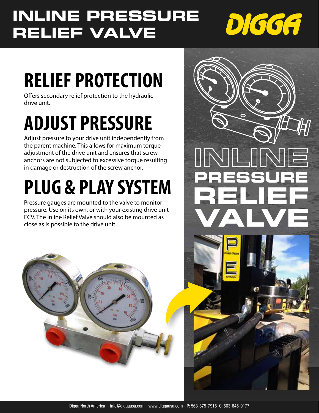## **INLINE PRESSURE RELIEF VALVE**



# **RELIEF PROTECTION**

Offers secondary relief protection to the hydraulic drive unit.

# **ADJUST PRESSURE**

Adjust pressure to your drive unit independently from the parent machine. This allows for maximum torque adjustment of the drive unit and ensures that screw anchors are not subjected to excessive torque resulting in damage or destruction of the screw anchor.

# **PLUG & PLAY SYSTEM**

Pressure gauges are mounted to the valve to monitor pressure. Use on its own, or with your existing drive unit ECV. The Inline Relief Valve should also be mounted as close as is possible to the drive unit.